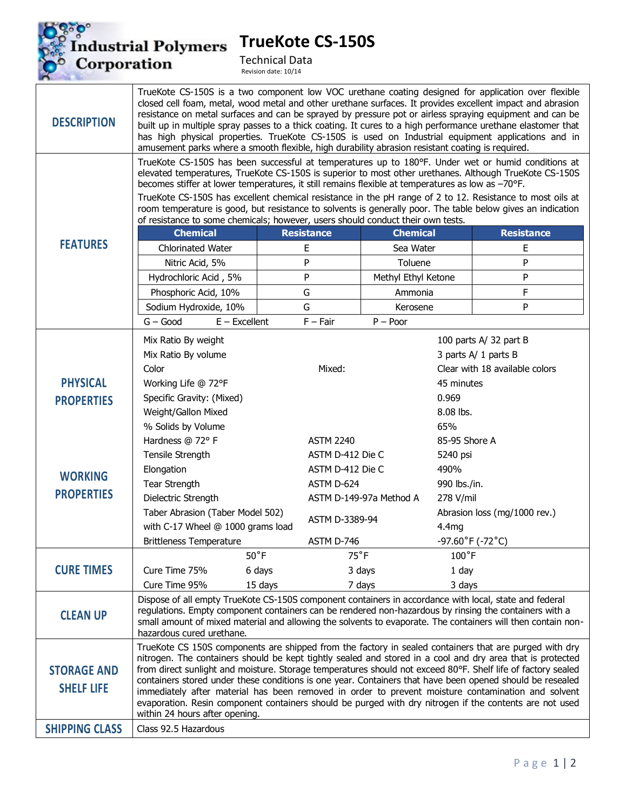Industrial Polymers<br>Corporation

**TrueKote CS-150S**



ಿ

Technical Data Revision date: 10/14

| <b>DESCRIPTION</b>                      | TrueKote CS-150S is a two component low VOC urethane coating designed for application over flexible<br>closed cell foam, metal, wood metal and other urethane surfaces. It provides excellent impact and abrasion<br>resistance on metal surfaces and can be sprayed by pressure pot or airless spraying equipment and can be<br>built up in multiple spray passes to a thick coating. It cures to a high performance urethane elastomer that<br>has high physical properties. TrueKote CS-150S is used on Industrial equipment applications and in<br>amusement parks where a smooth flexible, high durability abrasion resistant coating is required.                                              |                          |                         |                                                          |                                |  |
|-----------------------------------------|------------------------------------------------------------------------------------------------------------------------------------------------------------------------------------------------------------------------------------------------------------------------------------------------------------------------------------------------------------------------------------------------------------------------------------------------------------------------------------------------------------------------------------------------------------------------------------------------------------------------------------------------------------------------------------------------------|--------------------------|-------------------------|----------------------------------------------------------|--------------------------------|--|
| <b>FEATURES</b>                         | TrueKote CS-150S has been successful at temperatures up to 180°F. Under wet or humid conditions at<br>elevated temperatures, TrueKote CS-150S is superior to most other urethanes. Although TrueKote CS-150S<br>becomes stiffer at lower temperatures, it still remains flexible at temperatures as low as -70°F.                                                                                                                                                                                                                                                                                                                                                                                    |                          |                         |                                                          |                                |  |
|                                         | TrueKote CS-150S has excellent chemical resistance in the pH range of 2 to 12. Resistance to most oils at<br>room temperature is good, but resistance to solvents is generally poor. The table below gives an indication<br>of resistance to some chemicals; however, users should conduct their own tests.                                                                                                                                                                                                                                                                                                                                                                                          |                          |                         |                                                          |                                |  |
|                                         | <b>Chemical</b>                                                                                                                                                                                                                                                                                                                                                                                                                                                                                                                                                                                                                                                                                      | <b>Resistance</b>        | <b>Chemical</b>         |                                                          | <b>Resistance</b>              |  |
|                                         | <b>Chlorinated Water</b>                                                                                                                                                                                                                                                                                                                                                                                                                                                                                                                                                                                                                                                                             | E                        | Sea Water               |                                                          | E                              |  |
|                                         | P<br>Toluene<br>Nitric Acid, 5%                                                                                                                                                                                                                                                                                                                                                                                                                                                                                                                                                                                                                                                                      |                          |                         | P                                                        |                                |  |
|                                         | Hydrochloric Acid, 5%                                                                                                                                                                                                                                                                                                                                                                                                                                                                                                                                                                                                                                                                                | P<br>Methyl Ethyl Ketone |                         |                                                          | P                              |  |
|                                         | Phosphoric Acid, 10%                                                                                                                                                                                                                                                                                                                                                                                                                                                                                                                                                                                                                                                                                 | G                        | Ammonia                 |                                                          | F                              |  |
|                                         | Sodium Hydroxide, 10%                                                                                                                                                                                                                                                                                                                                                                                                                                                                                                                                                                                                                                                                                | G                        | Kerosene                |                                                          | P                              |  |
|                                         | $G - Good$<br>$E - Excellent$                                                                                                                                                                                                                                                                                                                                                                                                                                                                                                                                                                                                                                                                        | $F - Fair$               | $P - Poor$              |                                                          |                                |  |
| <b>PHYSICAL</b>                         | Mix Ratio By weight                                                                                                                                                                                                                                                                                                                                                                                                                                                                                                                                                                                                                                                                                  |                          |                         |                                                          | 100 parts A/ 32 part B         |  |
|                                         | Mix Ratio By volume                                                                                                                                                                                                                                                                                                                                                                                                                                                                                                                                                                                                                                                                                  |                          |                         | 3 parts A/ 1 parts B                                     |                                |  |
|                                         | Color                                                                                                                                                                                                                                                                                                                                                                                                                                                                                                                                                                                                                                                                                                | Mixed:                   |                         |                                                          | Clear with 18 available colors |  |
|                                         | Working Life @ 72°F                                                                                                                                                                                                                                                                                                                                                                                                                                                                                                                                                                                                                                                                                  |                          |                         |                                                          | 45 minutes                     |  |
| <b>PROPERTIES</b>                       | Specific Gravity: (Mixed)                                                                                                                                                                                                                                                                                                                                                                                                                                                                                                                                                                                                                                                                            |                          |                         | 0.969                                                    |                                |  |
|                                         | Weight/Gallon Mixed                                                                                                                                                                                                                                                                                                                                                                                                                                                                                                                                                                                                                                                                                  |                          |                         | 8.08 lbs.                                                |                                |  |
| <b>WORKING</b><br><b>PROPERTIES</b>     | % Solids by Volume                                                                                                                                                                                                                                                                                                                                                                                                                                                                                                                                                                                                                                                                                   |                          | 65%                     |                                                          |                                |  |
|                                         | Hardness @ 72° F                                                                                                                                                                                                                                                                                                                                                                                                                                                                                                                                                                                                                                                                                     |                          | <b>ASTM 2240</b>        |                                                          | 85-95 Shore A                  |  |
|                                         | Tensile Strength                                                                                                                                                                                                                                                                                                                                                                                                                                                                                                                                                                                                                                                                                     |                          | ASTM D-412 Die C        |                                                          | 5240 psi                       |  |
|                                         | Elongation                                                                                                                                                                                                                                                                                                                                                                                                                                                                                                                                                                                                                                                                                           |                          | ASTM D-412 Die C        |                                                          | 490%                           |  |
|                                         | Tear Strength                                                                                                                                                                                                                                                                                                                                                                                                                                                                                                                                                                                                                                                                                        |                          | ASTM D-624              |                                                          | 990 lbs./in.                   |  |
|                                         | Dielectric Strength                                                                                                                                                                                                                                                                                                                                                                                                                                                                                                                                                                                                                                                                                  |                          | ASTM D-149-97a Method A |                                                          | 278 V/mil                      |  |
|                                         | Taber Abrasion (Taber Model 502)                                                                                                                                                                                                                                                                                                                                                                                                                                                                                                                                                                                                                                                                     |                          | ASTM D-3389-94          |                                                          | Abrasion loss (mg/1000 rev.)   |  |
|                                         | with C-17 Wheel @ 1000 grams load                                                                                                                                                                                                                                                                                                                                                                                                                                                                                                                                                                                                                                                                    |                          |                         |                                                          | 4.4mg                          |  |
|                                         | <b>Brittleness Temperature</b>                                                                                                                                                                                                                                                                                                                                                                                                                                                                                                                                                                                                                                                                       | ASTM D-746               |                         | $-97.60^{\circ}$ F ( $-72^{\circ}$ C)<br>$100^{\circ}$ F |                                |  |
| <b>CURE TIMES</b>                       |                                                                                                                                                                                                                                                                                                                                                                                                                                                                                                                                                                                                                                                                                                      | $50^{\circ}$ F           | $75^{\circ}$ F          |                                                          |                                |  |
|                                         | Cure Time 75%                                                                                                                                                                                                                                                                                                                                                                                                                                                                                                                                                                                                                                                                                        | 6 days                   | 3 days                  |                                                          | 1 day                          |  |
|                                         | Cure Time 95%                                                                                                                                                                                                                                                                                                                                                                                                                                                                                                                                                                                                                                                                                        | 15 days<br>7 days        |                         | 3 days                                                   |                                |  |
| <b>CLEAN UP</b>                         | Dispose of all empty TrueKote CS-150S component containers in accordance with local, state and federal<br>regulations. Empty component containers can be rendered non-hazardous by rinsing the containers with a<br>small amount of mixed material and allowing the solvents to evaporate. The containers will then contain non-<br>hazardous cured urethane.                                                                                                                                                                                                                                                                                                                                        |                          |                         |                                                          |                                |  |
| <b>STORAGE AND</b><br><b>SHELF LIFE</b> | TrueKote CS 150S components are shipped from the factory in sealed containers that are purged with dry<br>nitrogen. The containers should be kept tightly sealed and stored in a cool and dry area that is protected<br>from direct sunlight and moisture. Storage temperatures should not exceed 80°F. Shelf life of factory sealed<br>containers stored under these conditions is one year. Containers that have been opened should be resealed<br>immediately after material has been removed in order to prevent moisture contamination and solvent<br>evaporation. Resin component containers should be purged with dry nitrogen if the contents are not used<br>within 24 hours after opening. |                          |                         |                                                          |                                |  |
| <b>SHIPPING CLASS</b>                   | Class 92.5 Hazardous                                                                                                                                                                                                                                                                                                                                                                                                                                                                                                                                                                                                                                                                                 |                          |                         |                                                          |                                |  |